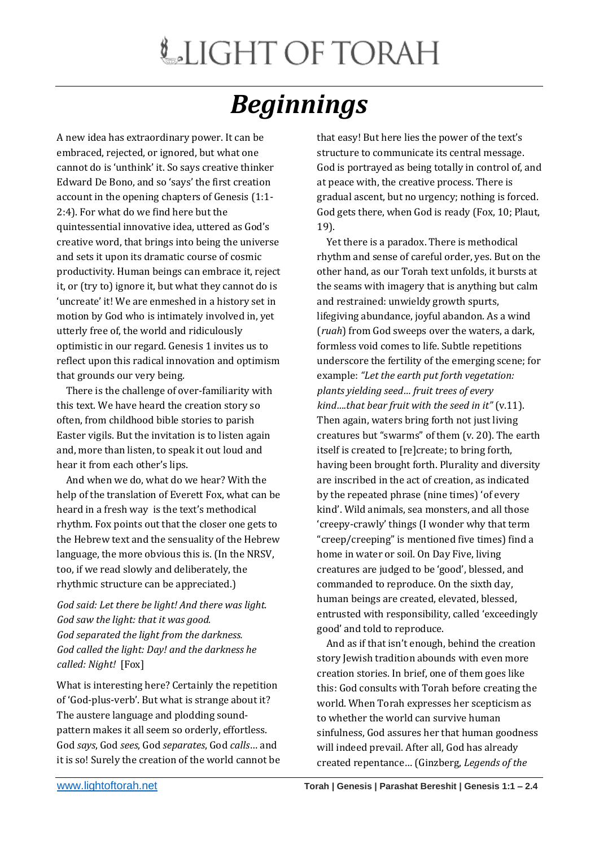## *Beginnings*

A new idea has extraordinary power. It can be embraced, rejected, or ignored, but what one cannot do is 'unthink' it. So says creative thinker Edward De Bono, and so 'says' the first creation account in the opening chapters of Genesis (1:1- 2:4). For what do we find here but the quintessential innovative idea, uttered as God's creative word, that brings into being the universe and sets it upon its dramatic course of cosmic productivity. Human beings can embrace it, reject it, or (try to) ignore it, but what they cannot do is 'uncreate' it! We are enmeshed in a history set in motion by God who is intimately involved in, yet utterly free of, the world and ridiculously optimistic in our regard. Genesis 1 invites us to reflect upon this radical innovation and optimism that grounds our very being.

 There is the challenge of over-familiarity with this text. We have heard the creation story so often, from childhood bible stories to parish Easter vigils. But the invitation is to listen again and, more than listen, to speak it out loud and hear it from each other's lips.

 And when we do, what do we hear? With the help of the translation of Everett Fox, what can be heard in a fresh way is the text's methodical rhythm. Fox points out that the closer one gets to the Hebrew text and the sensuality of the Hebrew language, the more obvious this is. (In the NRSV, too, if we read slowly and deliberately, the rhythmic structure can be appreciated.)

*God said: Let there be light! And there was light. God saw the light: that it was good. God separated the light from the darkness. God called the light: Day! and the darkness he called: Night!* [Fox]

What is interesting here? Certainly the repetition of 'God-plus-verb'. But what is strange about it? The austere language and plodding soundpattern makes it all seem so orderly, effortless. God *says*, God *sees*, God *separates*, God *calls*… and it is so! Surely the creation of the world cannot be that easy! But here lies the power of the text's structure to communicate its central message. God is portrayed as being totally in control of, and at peace with, the creative process. There is gradual ascent, but no urgency; nothing is forced. God gets there, when God is ready (Fox, 10; Plaut, 19).

 Yet there is a paradox. There is methodical rhythm and sense of careful order, yes. But on the other hand, as our Torah text unfolds, it bursts at the seams with imagery that is anything but calm and restrained: unwieldy growth spurts, lifegiving abundance, joyful abandon. As a wind (*ruah*) from God sweeps over the waters, a dark, formless void comes to life. Subtle repetitions underscore the fertility of the emerging scene; for example: *"Let the earth put forth vegetation: plants yielding seed… fruit trees of every kind….that bear fruit with the seed in it"* (v.11). Then again, waters bring forth not just living creatures but "swarms" of them (v. 20). The earth itself is created to [re]create; to bring forth, having been brought forth. Plurality and diversity are inscribed in the act of creation, as indicated by the repeated phrase (nine times) 'of every kind'. Wild animals, sea monsters, and all those 'creepy-crawly' things (I wonder why that term "creep/creeping" is mentioned five times) find a home in water or soil. On Day Five, living creatures are judged to be 'good', blessed, and commanded to reproduce. On the sixth day, human beings are created, elevated, blessed, entrusted with responsibility, called 'exceedingly good' and told to reproduce.

 And as if that isn't enough, behind the creation story Jewish tradition abounds with even more creation stories. In brief, one of them goes like this: God consults with Torah before creating the world. When Torah expresses her scepticism as to whether the world can survive human sinfulness, God assures her that human goodness will indeed prevail. After all, God has already created repentance… (Ginzberg, *Legends of the*